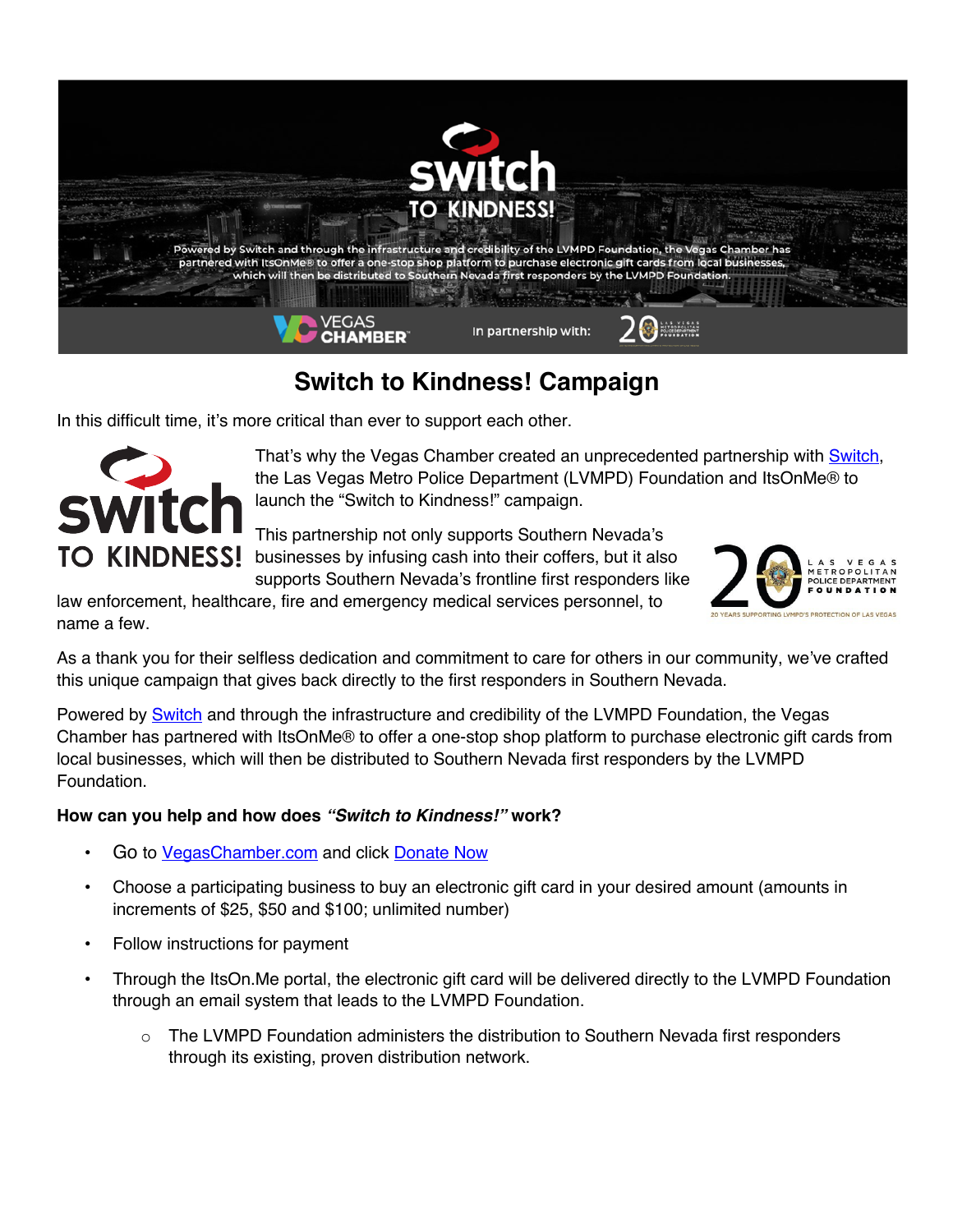

# **Switch to Kindness! Campaign**

In this difficult time, it's more critical than ever to support each other.



That's why the Vegas Chamber created an unprecedented partnership with Switch, the Las Vegas Metro Police Department (LVMPD) Foundation and ItsOnMe® to launch the "Switch to Kindness!" campaign.

This partnership not only supports Southern Nevada's TO KINDNESS! businesses by infusing cash into their coffers, but it also supports Southern Nevada's frontline first responders like

law enforcement, healthcare, fire and emergency medical services personnel, to name a few.



As a thank you for their selfless dedication and commitment to care for others in our community, we've crafted this unique campaign that gives back directly to the first responders in Southern Nevada.

Powered by **Switch** and through the infrastructure and credibility of the LVMPD Foundation, the Vegas Chamber has partnered with ItsOnMe® to offer a one-stop shop platform to purchase electronic gift cards from local businesses, which will then be distributed to Southern Nevada first responders by the LVMPD Foundation.

#### **How can you help and how does** *"Switch to Kindness!"* **work?**

- Go to VegasChamber.com and click Donate Now
- Choose a participating business to buy an electronic gift card in your desired amount (amounts in increments of \$25, \$50 and \$100; unlimited number)
- Follow instructions for payment
- Through the ItsOn.Me portal, the electronic gift card will be delivered directly to the LVMPD Foundation through an email system that leads to the LVMPD Foundation.
	- $\circ$  The LVMPD Foundation administers the distribution to Southern Nevada first responders through its existing, proven distribution network.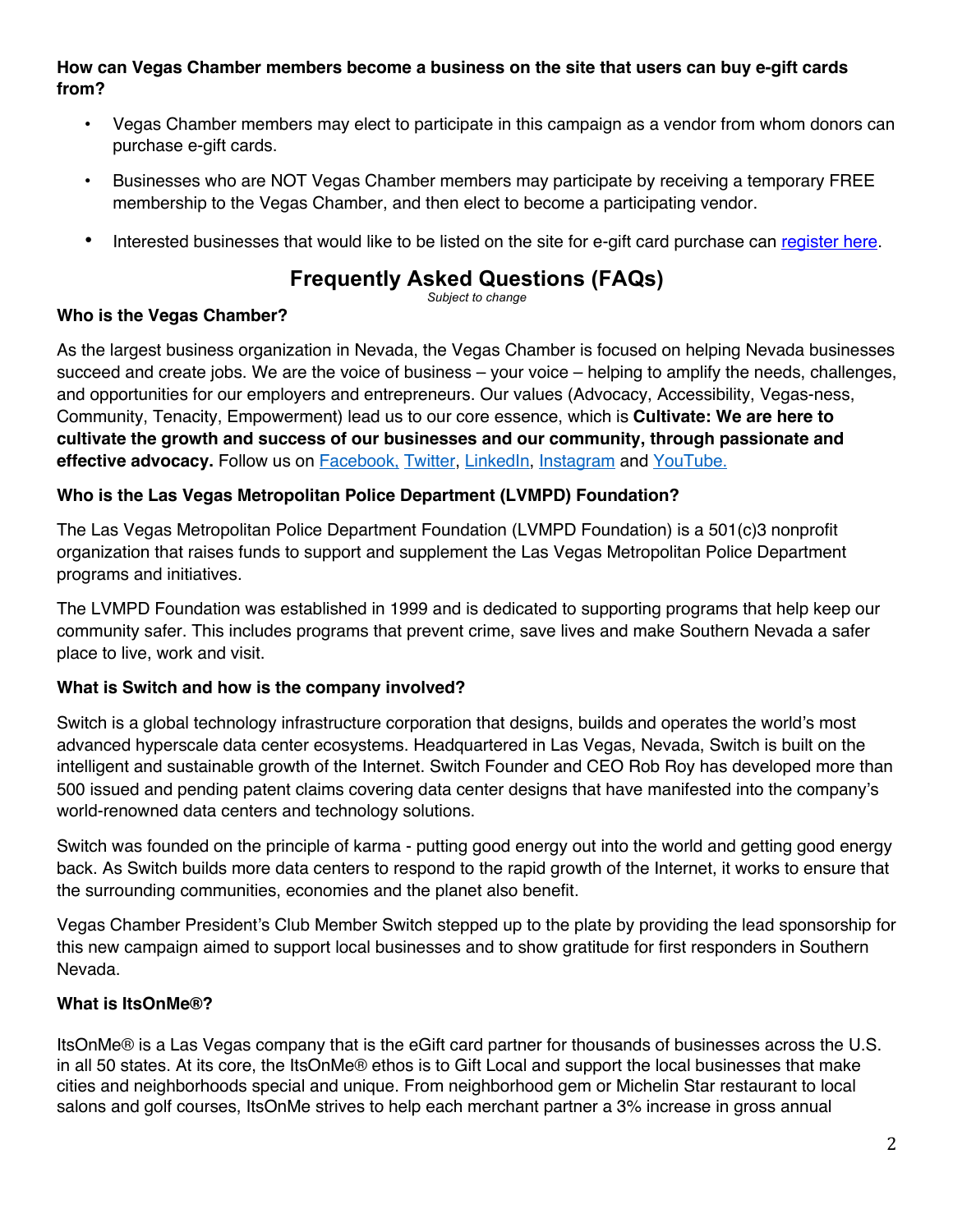#### **How can Vegas Chamber members become a business on the site that users can buy e-gift cards from?**

- Vegas Chamber members may elect to participate in this campaign as a vendor from whom donors can purchase e-gift cards.
- Businesses who are NOT Vegas Chamber members may participate by receiving a temporary FREE membership to the Vegas Chamber, and then elect to become a participating vendor.
- Interested businesses that would like to be listed on the site for e-gift card purchase can register here.

# **Frequently Asked Questions (FAQs)**

*Subject to change*

# **Who is the Vegas Chamber?**

As the largest business organization in Nevada, the Vegas Chamber is focused on helping Nevada businesses succeed and create jobs. We are the voice of business – your voice – helping to amplify the needs, challenges, and opportunities for our employers and entrepreneurs. Our values (Advocacy, Accessibility, Vegas-ness, Community, Tenacity, Empowerment) lead us to our core essence, which is **Cultivate: We are here to cultivate the growth and success of our businesses and our community, through passionate and effective advocacy.** Follow us on Facebook, Twitter, LinkedIn, Instagram and YouTube.

#### **Who is the Las Vegas Metropolitan Police Department (LVMPD) Foundation?**

The Las Vegas Metropolitan Police Department Foundation (LVMPD Foundation) is a 501(c)3 nonprofit organization that raises funds to support and supplement the Las Vegas Metropolitan Police Department programs and initiatives.

The LVMPD Foundation was established in 1999 and is dedicated to supporting programs that help keep our community safer. This includes programs that prevent crime, save lives and make Southern Nevada a safer place to live, work and visit.

#### **What is Switch and how is the company involved?**

Switch is a global technology infrastructure corporation that designs, builds and operates the world's most advanced hyperscale data center ecosystems. Headquartered in Las Vegas, Nevada, Switch is built on the intelligent and sustainable growth of the Internet. Switch Founder and CEO Rob Roy has developed more than 500 issued and pending patent claims covering data center designs that have manifested into the company's world-renowned data centers and technology solutions.

Switch was founded on the principle of karma - putting good energy out into the world and getting good energy back. As Switch builds more data centers to respond to the rapid growth of the Internet, it works to ensure that the surrounding communities, economies and the planet also benefit.

Vegas Chamber President's Club Member Switch stepped up to the plate by providing the lead sponsorship for this new campaign aimed to support local businesses and to show gratitude for first responders in Southern Nevada.

#### **What is ItsOnMe®?**

ItsOnMe® is a Las Vegas company that is the eGift card partner for thousands of businesses across the U.S. in all 50 states. At its core, the ItsOnMe® ethos is to Gift Local and support the local businesses that make cities and neighborhoods special and unique. From neighborhood gem or Michelin Star restaurant to local salons and golf courses, ItsOnMe strives to help each merchant partner a 3% increase in gross annual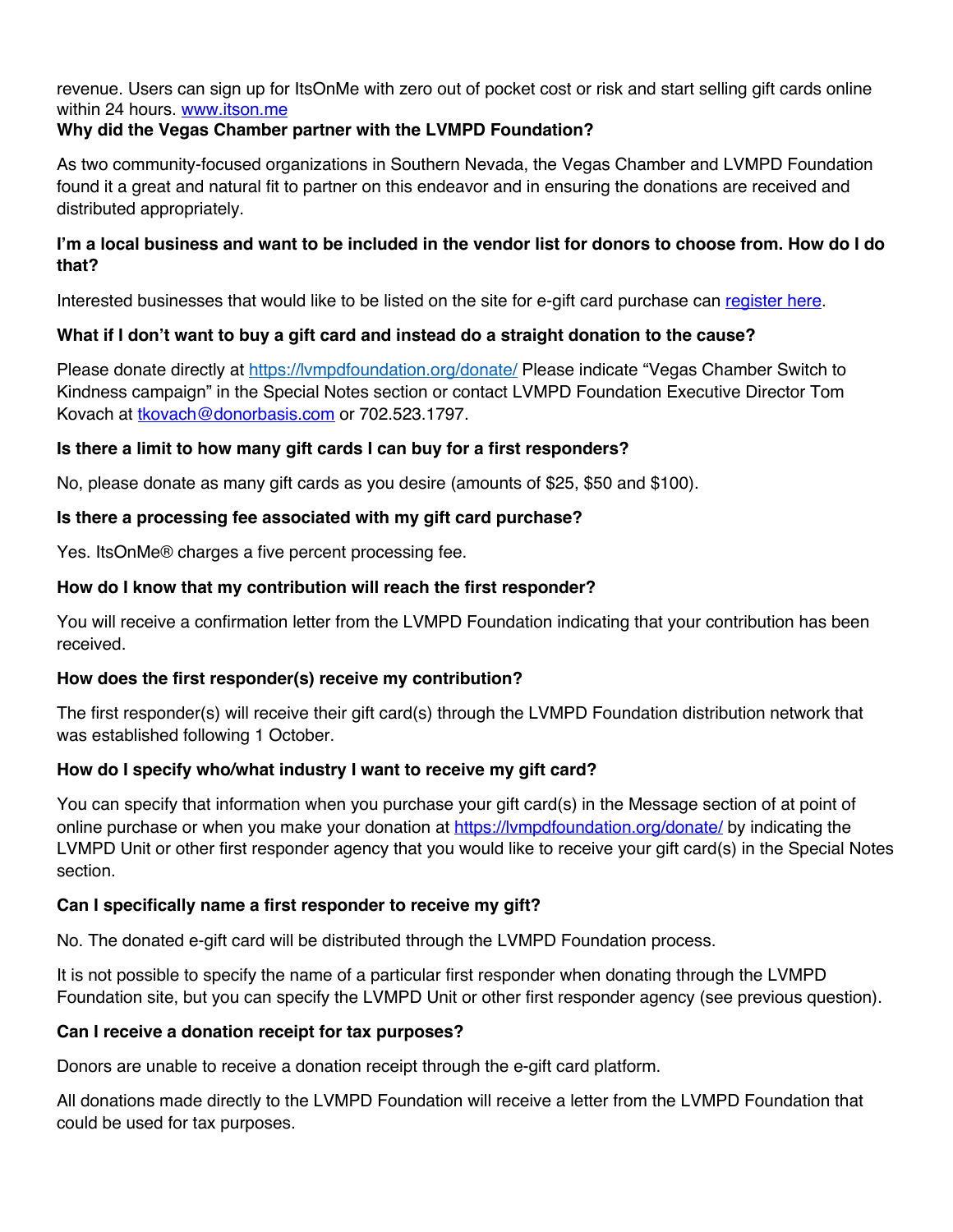revenue. Users can sign up for ItsOnMe with zero out of pocket cost or risk and start selling gift cards online within 24 hours. www.itson.me

### **Why did the Vegas Chamber partner with the LVMPD Foundation?**

As two community-focused organizations in Southern Nevada, the Vegas Chamber and LVMPD Foundation found it a great and natural fit to partner on this endeavor and in ensuring the donations are received and distributed appropriately.

#### **I'm a local business and want to be included in the vendor list for donors to choose from. How do I do that?**

Interested businesses that would like to be listed on the site for e-gift card purchase can register here.

# **What if I don't want to buy a gift card and instead do a straight donation to the cause?**

Please donate directly at https://lympdfoundation.org/donate/ Please indicate "Vegas Chamber Switch to Kindness campaign" in the Special Notes section or contact LVMPD Foundation Executive Director Tom Kovach at tkovach@donorbasis.com or 702.523.1797.

#### **Is there a limit to how many gift cards I can buy for a first responders?**

No, please donate as many gift cards as you desire (amounts of \$25, \$50 and \$100).

# **Is there a processing fee associated with my gift card purchase?**

Yes. ItsOnMe® charges a five percent processing fee.

# **How do I know that my contribution will reach the first responder?**

You will receive a confirmation letter from the LVMPD Foundation indicating that your contribution has been received.

# **How does the first responder(s) receive my contribution?**

The first responder(s) will receive their gift card(s) through the LVMPD Foundation distribution network that was established following 1 October.

# **How do I specify who/what industry I want to receive my gift card?**

You can specify that information when you purchase your gift card(s) in the Message section of at point of online purchase or when you make your donation at https://lvmpdfoundation.org/donate/ by indicating the LVMPD Unit or other first responder agency that you would like to receive your gift card(s) in the Special Notes section.

# **Can I specifically name a first responder to receive my gift?**

No. The donated e-gift card will be distributed through the LVMPD Foundation process.

It is not possible to specify the name of a particular first responder when donating through the LVMPD Foundation site, but you can specify the LVMPD Unit or other first responder agency (see previous question).

#### **Can I receive a donation receipt for tax purposes?**

Donors are unable to receive a donation receipt through the e-gift card platform.

All donations made directly to the LVMPD Foundation will receive a letter from the LVMPD Foundation that could be used for tax purposes.